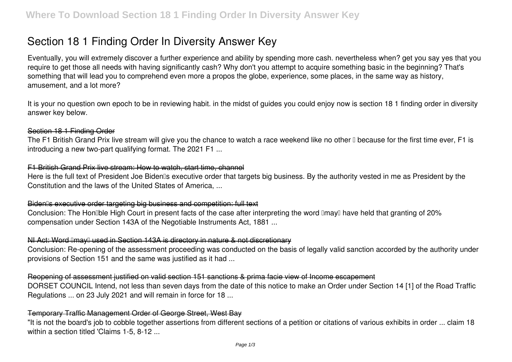# **Section 18 1 Finding Order In Diversity Answer Key**

Eventually, you will extremely discover a further experience and ability by spending more cash. nevertheless when? get you say yes that you require to get those all needs with having significantly cash? Why don't you attempt to acquire something basic in the beginning? That's something that will lead you to comprehend even more a propos the globe, experience, some places, in the same way as history, amusement, and a lot more?

It is your no question own epoch to be in reviewing habit. in the midst of guides you could enjoy now is **section 18 1 finding order in diversity answer key** below.

### Section 18 1 Finding Order

The F1 British Grand Prix live stream will give you the chance to watch a race weekend like no other  $\mathbb I$  because for the first time ever. F1 is introducing a new two-part qualifying format. The 2021 F1 ...

## F1 British Grand Prix live stream: How to watch, start time, channel

Here is the full text of President Joe Biden<sup>®</sup>s executive order that targets big business. By the authority vested in me as President by the Constitution and the laws of the United States of America, ...

### Biden<sup>®</sup>s executive order targeting big business and competition: full text

Conclusion: The Hon<sup>'</sup>ble High Court in present facts of the case after interpreting the word **Imay**<sup>1</sup> have held that granting of 20% compensation under Section 143A of the Negotiable Instruments Act, 1881 ...

### NI Act: Word Imay used in Section 143A is directory in nature & not discretionary

Conclusion: Re-opening of the assessment proceeding was conducted on the basis of legally valid sanction accorded by the authority under provisions of Section 151 and the same was justified as it had ...

### Reopening of assessment justified on valid section 151 sanctions & prima facie view of Income escapement

DORSET COUNCIL Intend, not less than seven days from the date of this notice to make an Order under Section 14 [1] of the Road Traffic Regulations ... on 23 July 2021 and will remain in force for 18 ...

### Temporary Traffic Management Order of George Street, West Bay

"It is not the board's job to cobble together assertions from different sections of a petition or citations of various exhibits in order ... claim 18 within a section titled 'Claims 1-5, 8-12 ...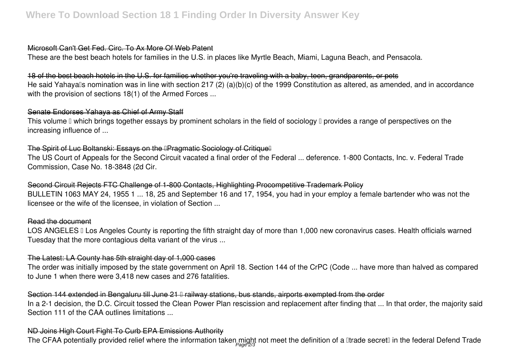#### Microsoft Can't Get Fed. Circ. To Ax More Of Web Patent

These are the best beach hotels for families in the U.S. in places like Myrtle Beach, Miami, Laguna Beach, and Pensacola.

### 18 of the best beach hotels in the U.S. for families whether you're traveling with a baby, teen, grandparents, or pets

He said Yahayalls nomination was in line with section 217 (2) (a)(b)(c) of the 1999 Constitution as altered, as amended, and in accordance with the provision of sections 18(1) of the Armed Forces ...

### Senate Endorses Yahaya as Chief of Army Staff

This volume  $\Box$  which brings together essays by prominent scholars in the field of sociology  $\Box$  provides a range of perspectives on the increasing influence of ...

# The Spirit of Luc Boltanski: Essays on the **IPragmatic Sociology of Critique** II

The US Court of Appeals for the Second Circuit vacated a final order of the Federal ... deference. 1-800 Contacts, Inc. v. Federal Trade Commission, Case No. 18-3848 (2d Cir.

## Second Circuit Rejects FTC Challenge of 1-800 Contacts, Highlighting Procompetitive Trademark Policy

BULLETIN 1063 MAY 24, 1955 1 ... 18, 25 and September 16 and 17, 1954, you had in your employ a female bartender who was not the licensee or the wife of the licensee, in violation of Section ...

#### Read the document

LOS ANGELES II Los Angeles County is reporting the fifth straight day of more than 1,000 new coronavirus cases. Health officials warned Tuesday that the more contagious delta variant of the virus ...

### The Latest: LA County has 5th straight day of 1,000 cases

The order was initially imposed by the state government on April 18. Section 144 of the CrPC (Code ... have more than halved as compared to June 1 when there were 3,418 new cases and 276 fatalities.

### Section 144 extended in Bengaluru till June 21  $\mathbb I$  railway stations, bus stands, airports exempted from the order

In a 2-1 decision, the D.C. Circuit tossed the Clean Power Plan rescission and replacement after finding that ... In that order, the majority said Section 111 of the CAA outlines limitations ...

## ND Joins High Court Fight To Curb EPA Emissions Authority

The CFAA potentially provided relief where the information taken might not meet the definition of a ⊞trade secret⊞in the federal Defend Trade